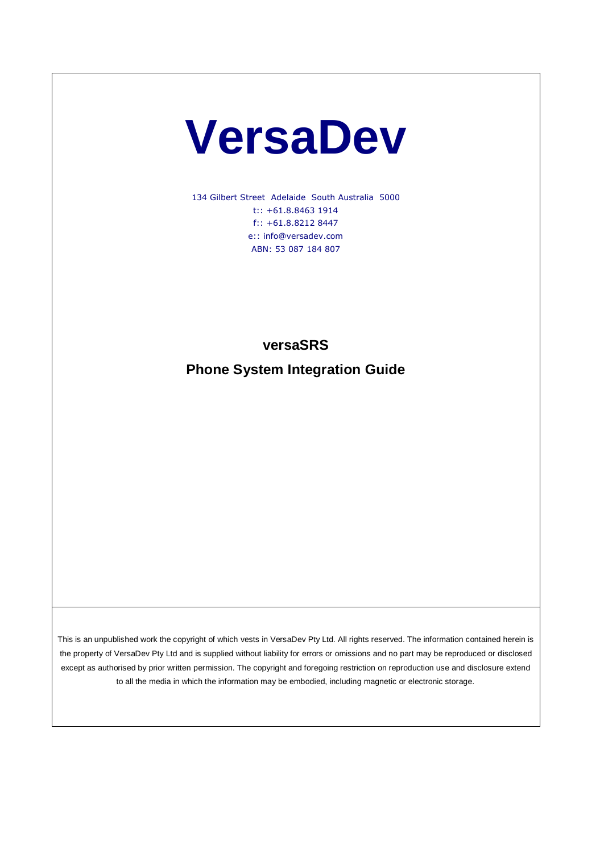# **VersaDev**

134 Gilbert Street Adelaide South Australia 5000 t:: +61.8.8463 1914 f:: +61.8.8212 8447 e:: info@versadev.com ABN: 53 087 184 807

## **versaSRS**

**Phone System Integration Guide**

This is an unpublished work the copyright of which vests in VersaDev Pty Ltd. All rights reserved. The information contained herein is the property of VersaDev Pty Ltd and is supplied without liability for errors or omissions and no part may be reproduced or disclosed except as authorised by prior written permission. The copyright and foregoing restriction on reproduction use and disclosure extend to all the media in which the information may be embodied, including magnetic or electronic storage.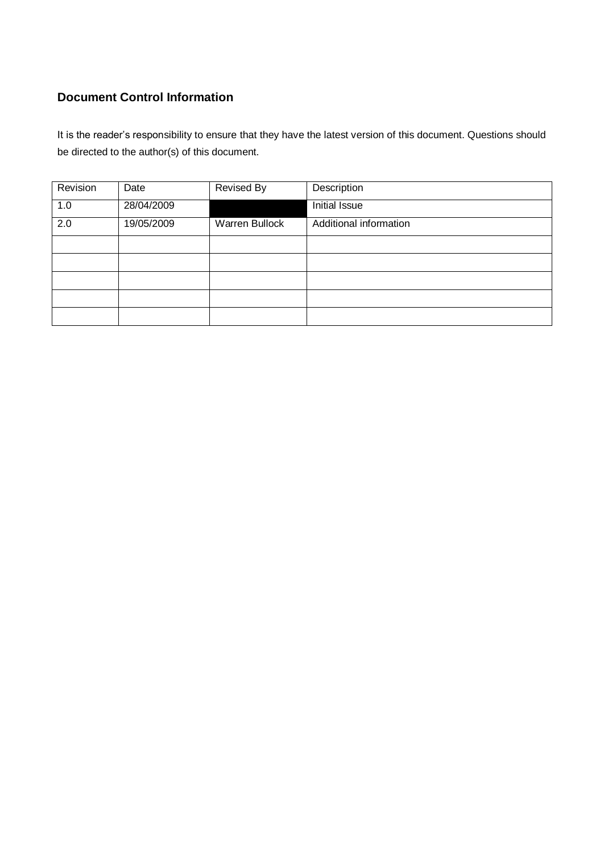## **Document Control Information**

It is the reader's responsibility to ensure that they have the latest version of this document. Questions should be directed to the author(s) of this document.

| Revision | Date       | Revised By     | Description            |
|----------|------------|----------------|------------------------|
| 1.0      | 28/04/2009 |                | Initial Issue          |
| 2.0      | 19/05/2009 | Warren Bullock | Additional information |
|          |            |                |                        |
|          |            |                |                        |
|          |            |                |                        |
|          |            |                |                        |
|          |            |                |                        |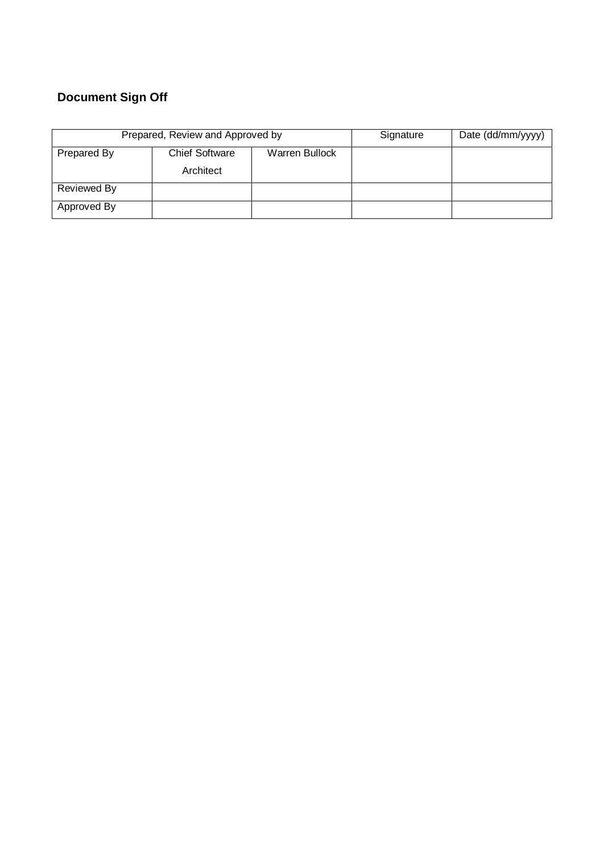# **Document Sign Off**

| Prepared, Review and Approved by |                       |                | Signature | Date (dd/mm/yyyy) |
|----------------------------------|-----------------------|----------------|-----------|-------------------|
| Prepared By                      | <b>Chief Software</b> | Warren Bullock |           |                   |
|                                  | Architect             |                |           |                   |
| Reviewed By                      |                       |                |           |                   |
| Approved By                      |                       |                |           |                   |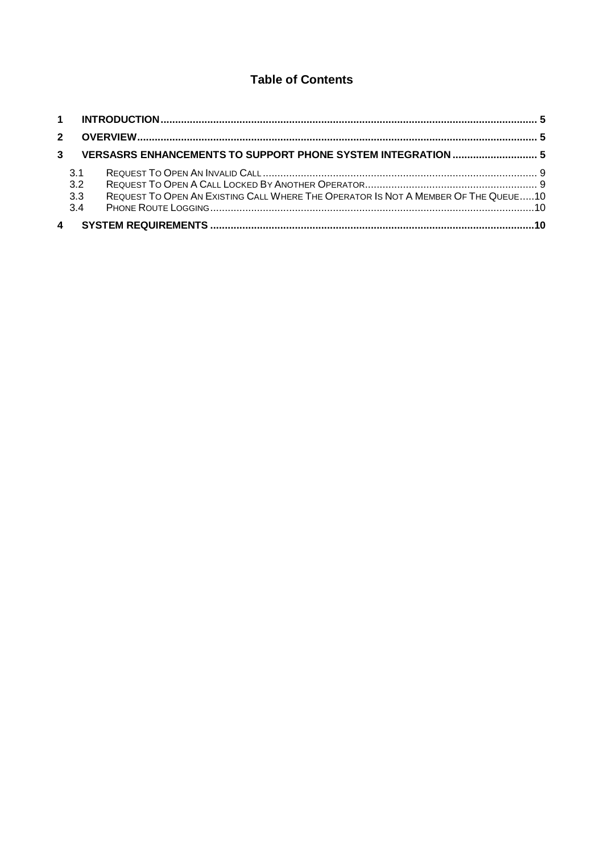## **Table of Contents**

| $2^{\circ}$ |                          |                                                                                    |  |
|-------------|--------------------------|------------------------------------------------------------------------------------|--|
| 3           |                          | VERSASRS ENHANCEMENTS TO SUPPORT PHONE SYSTEM INTEGRATION  5                       |  |
|             | 3.1<br>3.2<br>3.3<br>3.4 | REQUEST TO OPEN AN EXISTING CALL WHERE THE OPERATOR IS NOT A MEMBER OF THE QUEUE10 |  |
|             | $\overline{4}$           |                                                                                    |  |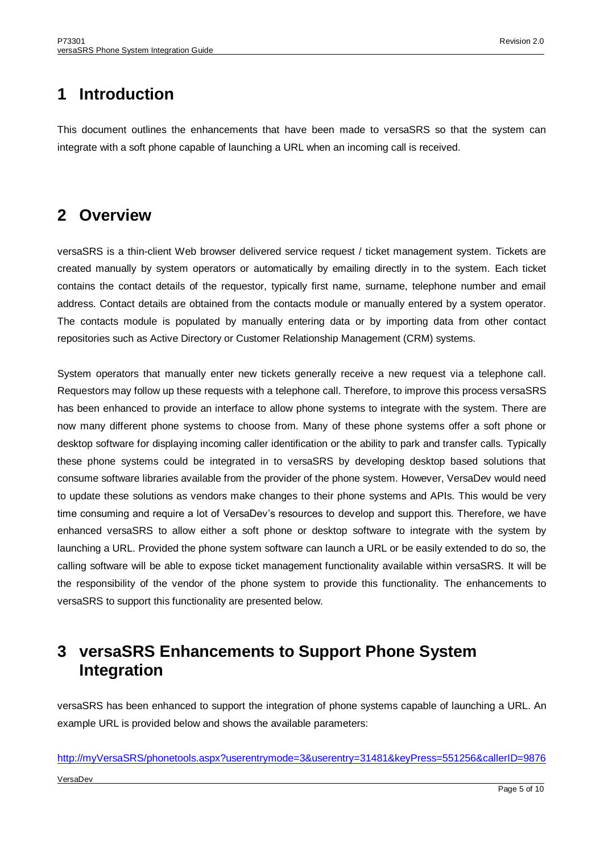# <span id="page-4-0"></span>**1 Introduction**

This document outlines the enhancements that have been made to versaSRS so that the system can integrate with a soft phone capable of launching a URL when an incoming call is received.

# <span id="page-4-1"></span>**2 Overview**

versaSRS is a thin-client Web browser delivered service request / ticket management system. Tickets are created manually by system operators or automatically by emailing directly in to the system. Each ticket contains the contact details of the requestor, typically first name, surname, telephone number and email address. Contact details are obtained from the contacts module or manually entered by a system operator. The contacts module is populated by manually entering data or by importing data from other contact repositories such as Active Directory or Customer Relationship Management (CRM) systems.

System operators that manually enter new tickets generally receive a new request via a telephone call. Requestors may follow up these requests with a telephone call. Therefore, to improve this process versaSRS has been enhanced to provide an interface to allow phone systems to integrate with the system. There are now many different phone systems to choose from. Many of these phone systems offer a soft phone or desktop software for displaying incoming caller identification or the ability to park and transfer calls. Typically these phone systems could be integrated in to versaSRS by developing desktop based solutions that consume software libraries available from the provider of the phone system. However, VersaDev would need to update these solutions as vendors make changes to their phone systems and APIs. This would be very time consuming and require a lot of VersaDev's resources to develop and support this. Therefore, we have enhanced versaSRS to allow either a soft phone or desktop software to integrate with the system by launching a URL. Provided the phone system software can launch a URL or be easily extended to do so, the calling software will be able to expose ticket management functionality available within versaSRS. It will be the responsibility of the vendor of the phone system to provide this functionality. The enhancements to versaSRS to support this functionality are presented below.

# <span id="page-4-2"></span>**3 versaSRS Enhancements to Support Phone System Integration**

versaSRS has been enhanced to support the integration of phone systems capable of launching a URL. An example URL is provided below and shows the available parameters:

## VersaDev [http://myVersaSRS/phonetools.aspx?userentrymode=3&userentry=31481&keyPress=551256&callerID=9876](http://myversasrs/phonetools.aspx?userentrymode=3&userentry=31481&keyPress=551256&callerID=9876)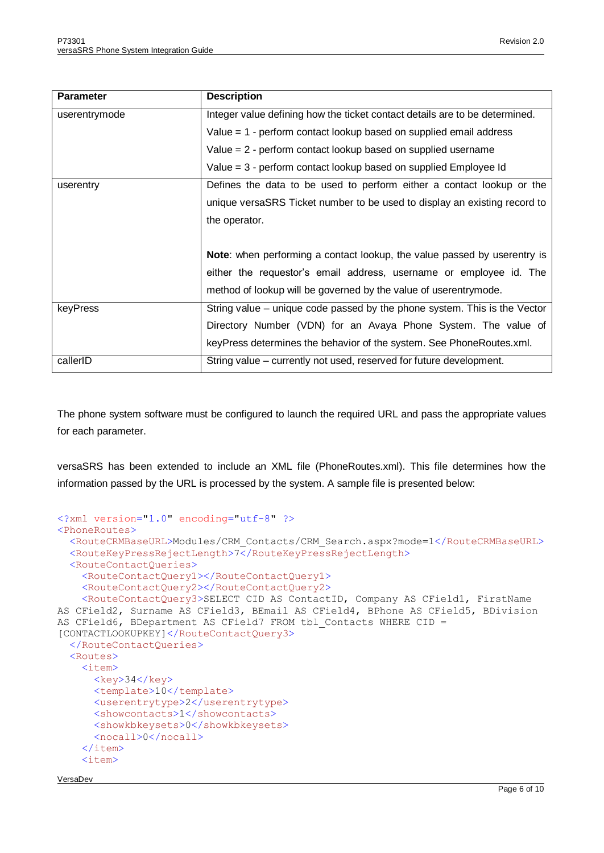| <b>Parameter</b> | <b>Description</b>                                                          |
|------------------|-----------------------------------------------------------------------------|
| userentrymode    | Integer value defining how the ticket contact details are to be determined. |
|                  | Value $= 1$ - perform contact lookup based on supplied email address        |
|                  | Value $= 2$ - perform contact lookup based on supplied username             |
|                  | Value = 3 - perform contact lookup based on supplied Employee Id            |
| userentry        | Defines the data to be used to perform either a contact lookup or the       |
|                  | unique versaSRS Ticket number to be used to display an existing record to   |
|                  | the operator.                                                               |
|                  |                                                                             |
|                  | Note: when performing a contact lookup, the value passed by userentry is    |
|                  | either the requestor's email address, username or employee id. The          |
|                  | method of lookup will be governed by the value of userentrymode.            |
| keyPress         | String value – unique code passed by the phone system. This is the Vector   |
|                  | Directory Number (VDN) for an Avaya Phone System. The value of              |
|                  | keyPress determines the behavior of the system. See PhoneRoutes.xml.        |
| callerID         | String value – currently not used, reserved for future development.         |

The phone system software must be configured to launch the required URL and pass the appropriate values for each parameter.

versaSRS has been extended to include an XML file (PhoneRoutes.xml). This file determines how the information passed by the URL is processed by the system. A sample file is presented below:

```
<?xml version="1.0" encoding="utf-8" ?>
<PhoneRoutes>
   <RouteCRMBaseURL>Modules/CRM_Contacts/CRM_Search.aspx?mode=1</RouteCRMBaseURL>
   <RouteKeyPressRejectLength>7</RouteKeyPressRejectLength>
   <RouteContactQueries>
     <RouteContactQuery1></RouteContactQuery1>
     <RouteContactQuery2></RouteContactQuery2>
     <RouteContactQuery3>SELECT CID AS ContactID, Company AS CField1, FirstName 
AS CField2, Surname AS CField3, BEmail AS CField4, BPhone AS CField5, BDivision 
AS CField6, BDepartment AS CField7 FROM tbl_Contacts WHERE CID = 
[CONTACTLOOKUPKEY]</RouteContactQuery3>
   </RouteContactQueries>
   <Routes>
     <item>
      <key>34</key>
      <template>10</template>
       <userentrytype>2</userentrytype>
      <showcontacts>1</showcontacts>
       <showkbkeysets>0</showkbkeysets>
       <nocall>0</nocall>
    \langleitem>
     <item>
```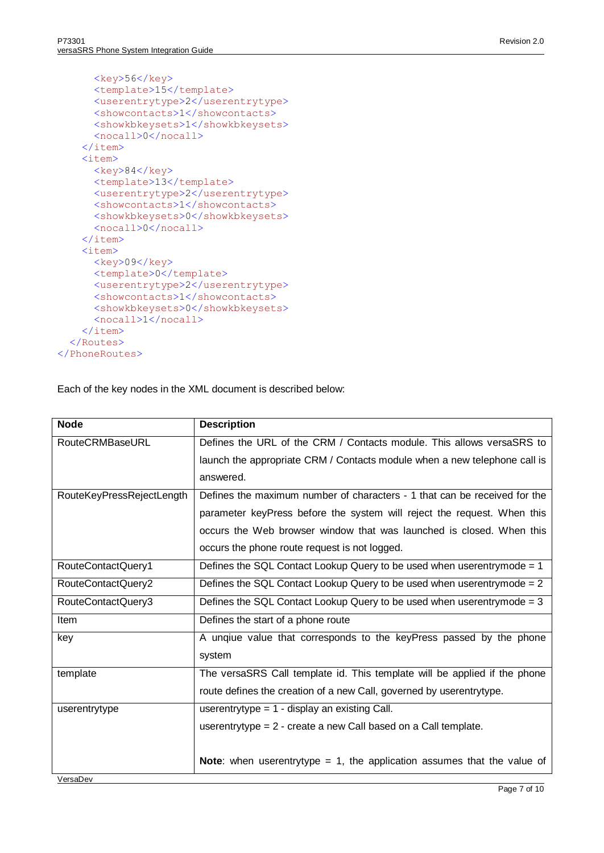```
<key>56</key>
      <template>15</template>
       <userentrytype>2</userentrytype>
      <showcontacts>1</showcontacts>
      <showkbkeysets>1</showkbkeysets>
       <nocall>0</nocall>
    \langleitem\rangle <item>
      <key>84</key>
      <template>13</template>
       <userentrytype>2</userentrytype>
      <showcontacts>1</showcontacts>
       <showkbkeysets>0</showkbkeysets>
       <nocall>0</nocall>
     </item>
     <item>
       <key>09</key>
      <template>0</template>
       <userentrytype>2</userentrytype>
      <showcontacts>1</showcontacts>
       <showkbkeysets>0</showkbkeysets>
       <nocall>1</nocall>
    \langleitem\rangle </Routes>
</PhoneRoutes>
```
Each of the key nodes in the XML document is described below:

| <b>Node</b>               | <b>Description</b>                                                             |
|---------------------------|--------------------------------------------------------------------------------|
| <b>RouteCRMBaseURL</b>    | Defines the URL of the CRM / Contacts module. This allows versaSRS to          |
|                           | launch the appropriate CRM / Contacts module when a new telephone call is      |
|                           | answered.                                                                      |
| RouteKeyPressRejectLength | Defines the maximum number of characters - 1 that can be received for the      |
|                           | parameter keyPress before the system will reject the request. When this        |
|                           | occurs the Web browser window that was launched is closed. When this           |
|                           | occurs the phone route request is not logged.                                  |
| RouteContactQuery1        | Defines the SQL Contact Lookup Query to be used when userentrymode $= 1$       |
| RouteContactQuery2        | Defines the SQL Contact Lookup Query to be used when userentrymode $= 2$       |
| RouteContactQuery3        | Defines the SQL Contact Lookup Query to be used when userentrymode $=$ 3       |
| Item                      | Defines the start of a phone route                                             |
| key                       | A unqiue value that corresponds to the keyPress passed by the phone            |
|                           | system                                                                         |
| template                  | The versaSRS Call template id. This template will be applied if the phone      |
|                           | route defines the creation of a new Call, governed by userentrytype.           |
| userentrytype             | userentrytype = $1 -$ display an existing Call.                                |
|                           | userentrytype $= 2$ - create a new Call based on a Call template.              |
|                           |                                                                                |
|                           | <b>Note:</b> when userentrytype = 1, the application assumes that the value of |
| VersaDev                  |                                                                                |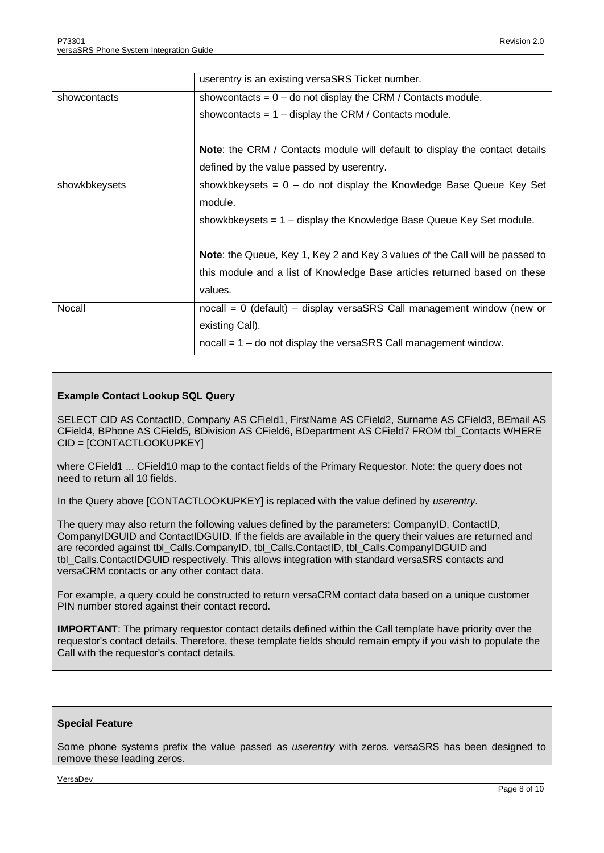|               | userentry is an existing versaSRS Ticket number.                                    |
|---------------|-------------------------------------------------------------------------------------|
| showcontacts  | showcontacts = $0 -$ do not display the CRM / Contacts module.                      |
|               | showcontacts = $1 -$ display the CRM / Contacts module.                             |
|               |                                                                                     |
|               | <b>Note:</b> the CRM / Contacts module will default to display the contact details  |
|               | defined by the value passed by userentry.                                           |
| showkbkeysets | showkbkeysets = $0 -$ do not display the Knowledge Base Queue Key Set               |
|               | module.                                                                             |
|               | showkbkeysets $= 1 -$ display the Knowledge Base Queue Key Set module.              |
|               |                                                                                     |
|               | Note: the Queue, Key 1, Key 2 and Key 3 values of the Call will be passed to        |
|               | this module and a list of Knowledge Base articles returned based on these           |
|               | values.                                                                             |
| Nocall        | $p_{\text{nocall}} = 0$ (default) – display versaSRS Call management window (new or |
|               | existing Call).                                                                     |
|               | $p_{\text{no}}$ = 1 – do not display the versaSRS Call management window.           |

#### **Example Contact Lookup SQL Query**

SELECT CID AS ContactID, Company AS CField1, FirstName AS CField2, Surname AS CField3, BEmail AS CField4, BPhone AS CField5, BDivision AS CField6, BDepartment AS CField7 FROM tbl\_Contacts WHERE CID = [CONTACTLOOKUPKEY]

where CField1 ... CField10 map to the contact fields of the Primary Requestor. Note: the query does not need to return all 10 fields.

In the Query above [CONTACTLOOKUPKEY] is replaced with the value defined by *userentry*.

The query may also return the following values defined by the parameters: CompanyID, ContactID, CompanyIDGUID and ContactIDGUID. If the fields are available in the query their values are returned and are recorded against tbl\_Calls.CompanyID, tbl\_Calls.ContactID, tbl\_Calls.CompanyIDGUID and tbl\_Calls.ContactIDGUID respectively. This allows integration with standard versaSRS contacts and versaCRM contacts or any other contact data.

For example, a query could be constructed to return versaCRM contact data based on a unique customer PIN number stored against their contact record.

**IMPORTANT**: The primary requestor contact details defined within the Call template have priority over the requestor's contact details. Therefore, these template fields should remain empty if you wish to populate the Call with the requestor's contact details.

#### **Special Feature**

Some phone systems prefix the value passed as *userentry* with zeros. versaSRS has been designed to remove these leading zeros.

VersaDev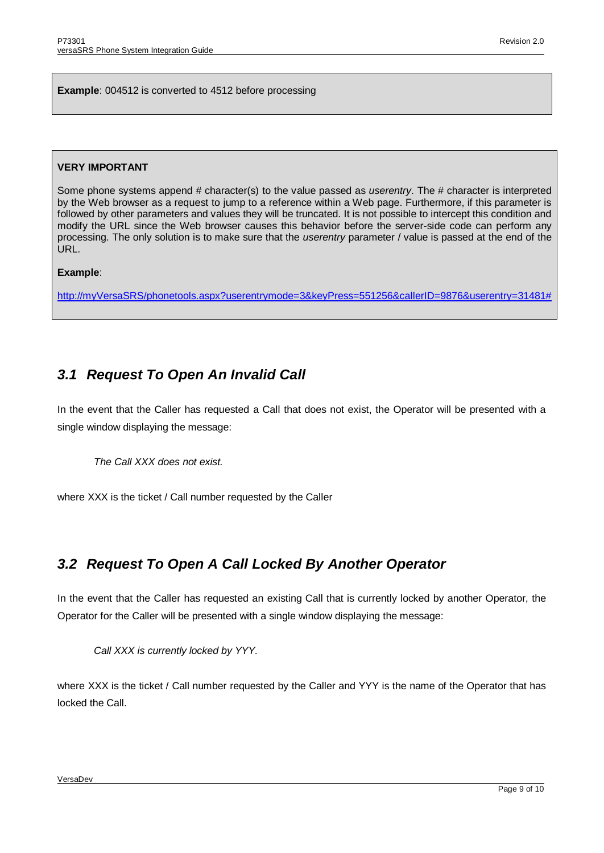**Example**: 004512 is converted to 4512 before processing

#### **VERY IMPORTANT**

Some phone systems append # character(s) to the value passed as *userentry*. The # character is interpreted by the Web browser as a request to jump to a reference within a Web page. Furthermore, if this parameter is followed by other parameters and values they will be truncated. It is not possible to intercept this condition and modify the URL since the Web browser causes this behavior before the server-side code can perform any processing. The only solution is to make sure that the *userentry* parameter / value is passed at the end of the URL.

#### **Example**:

[http://myVersaSRS/phonetools.aspx?userentrymode=3&keyPress=551256&callerID=9876&userentry=31481#](http://myversasrs/phonetools.aspx?userentrymode=3&keyPress=551256&callerID=9876&userentry=31481)

## <span id="page-8-0"></span>*3.1 Request To Open An Invalid Call*

In the event that the Caller has requested a Call that does not exist, the Operator will be presented with a single window displaying the message:

*The Call XXX does not exist.*

where XXX is the ticket / Call number requested by the Caller

## <span id="page-8-1"></span>*3.2 Request To Open A Call Locked By Another Operator*

In the event that the Caller has requested an existing Call that is currently locked by another Operator, the Operator for the Caller will be presented with a single window displaying the message:

*Call XXX is currently locked by YYY.*

where XXX is the ticket / Call number requested by the Caller and YYY is the name of the Operator that has locked the Call.